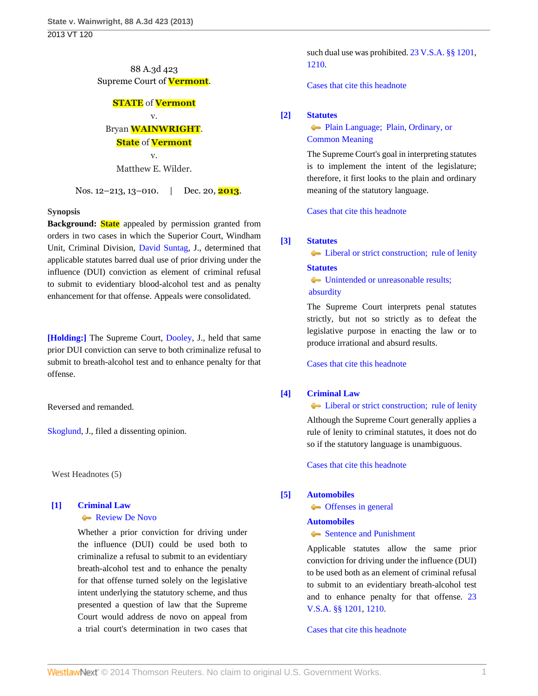## 88 A.3d 423 Supreme Court of **Vermont**.

## **STATE** of **Vermont** v.

# Bryan **WAINWRIGHT**.

### **State** of **Vermont**

v. Matthew E. Wilder.

Nos. 12–213, 13–010. | Dec. 20, **2013**.

### **Synopsis**

**Background: State** appealed by permission granted from orders in two cases in which the Superior Court, Windham Unit, Criminal Division, [David Suntag](http://www.westlaw.com/Link/Document/FullText?findType=h&pubNum=176284&cite=0130214301&originatingDoc=I362304f3697d11e3a659df62eba144e8&refType=RQ&originationContext=document&vr=3.0&rs=cblt1.0&transitionType=DocumentItem&contextData=(sc.Search)), J., determined that applicable statutes barred dual use of prior driving under the influence (DUI) conviction as element of criminal refusal to submit to evidentiary blood-alcohol test and as penalty enhancement for that offense. Appeals were consolidated.

**[\[Holding:\]](#page-0-0)** The Supreme Court, [Dooley,](http://www.westlaw.com/Link/Document/FullText?findType=h&pubNum=176284&cite=0264531601&originatingDoc=I362304f3697d11e3a659df62eba144e8&refType=RQ&originationContext=document&vr=3.0&rs=cblt1.0&transitionType=DocumentItem&contextData=(sc.Search)) J., held that same prior DUI conviction can serve to both criminalize refusal to submit to breath-alcohol test and to enhance penalty for that offense.

Reversed and remanded.

[Skoglund](http://www.westlaw.com/Link/Document/FullText?findType=h&pubNum=176284&cite=0197190101&originatingDoc=I362304f3697d11e3a659df62eba144e8&refType=RQ&originationContext=document&vr=3.0&rs=cblt1.0&transitionType=DocumentItem&contextData=(sc.Search)), J., filed a dissenting opinion.

West Headnotes (5)

## <span id="page-0-1"></span>**[\[1\]](#page-1-0) [Criminal Law](http://www.westlaw.com/Browse/Home/KeyNumber/110/View.html?docGuid=I362304f3697d11e3a659df62eba144e8&originationContext=document&vr=3.0&rs=cblt1.0&transitionType=DocumentItem&contextData=(sc.Search))**

#### [Review De Novo](http://www.westlaw.com/Browse/Home/KeyNumber/110XXIV(L)13/View.html?docGuid=I362304f3697d11e3a659df62eba144e8&originationContext=document&vr=3.0&rs=cblt1.0&transitionType=DocumentItem&contextData=(sc.Search))

Whether a prior conviction for driving under the influence (DUI) could be used both to criminalize a refusal to submit to an evidentiary breath-alcohol test and to enhance the penalty for that offense turned solely on the legislative intent underlying the statutory scheme, and thus presented a question of law that the Supreme Court would address de novo on appeal from a trial court's determination in two cases that

such dual use was prohibited. [23 V.S.A. §§ 1201](http://www.westlaw.com/Link/Document/FullText?findType=L&pubNum=1000883&cite=VTST23S1201&originatingDoc=I362304f3697d11e3a659df62eba144e8&refType=LQ&originationContext=document&vr=3.0&rs=cblt1.0&transitionType=DocumentItem&contextData=(sc.Search)), [1210.](http://www.westlaw.com/Link/Document/FullText?findType=L&pubNum=1000883&cite=VTST23S1210&originatingDoc=I362304f3697d11e3a659df62eba144e8&refType=LQ&originationContext=document&vr=3.0&rs=cblt1.0&transitionType=DocumentItem&contextData=(sc.Search))

[Cases that cite this headnote](http://www.westlaw.com/Link/RelatedInformation/DocHeadnoteLink?docGuid=I362304f3697d11e3a659df62eba144e8&headnoteId=203235073400120140711004252&originationContext=document&vr=3.0&rs=cblt1.0&transitionType=CitingReferences&contextData=(sc.Search))

### <span id="page-0-2"></span>**[\[2\]](#page-2-0) [Statutes](http://www.westlaw.com/Browse/Home/KeyNumber/361/View.html?docGuid=I362304f3697d11e3a659df62eba144e8&originationContext=document&vr=3.0&rs=cblt1.0&transitionType=DocumentItem&contextData=(sc.Search))**

## [Plain Language; Plain, Ordinary, or](http://www.westlaw.com/Browse/Home/KeyNumber/361III(B)/View.html?docGuid=I362304f3697d11e3a659df62eba144e8&originationContext=document&vr=3.0&rs=cblt1.0&transitionType=DocumentItem&contextData=(sc.Search)) [Common Meaning](http://www.westlaw.com/Browse/Home/KeyNumber/361III(B)/View.html?docGuid=I362304f3697d11e3a659df62eba144e8&originationContext=document&vr=3.0&rs=cblt1.0&transitionType=DocumentItem&contextData=(sc.Search))

The Supreme Court's goal in interpreting statutes is to implement the intent of the legislature; therefore, it first looks to the plain and ordinary meaning of the statutory language.

[Cases that cite this headnote](http://www.westlaw.com/Link/RelatedInformation/DocHeadnoteLink?docGuid=I362304f3697d11e3a659df62eba144e8&headnoteId=203235073400220140711004252&originationContext=document&vr=3.0&rs=cblt1.0&transitionType=CitingReferences&contextData=(sc.Search))

### <span id="page-0-3"></span>**[\[3\]](#page-2-1) [Statutes](http://www.westlaw.com/Browse/Home/KeyNumber/361/View.html?docGuid=I362304f3697d11e3a659df62eba144e8&originationContext=document&vr=3.0&rs=cblt1.0&transitionType=DocumentItem&contextData=(sc.Search))**

**►** [Liberal or strict construction; rule of lenity](http://www.westlaw.com/Browse/Home/KeyNumber/361k1318/View.html?docGuid=I362304f3697d11e3a659df62eba144e8&originationContext=document&vr=3.0&rs=cblt1.0&transitionType=DocumentItem&contextData=(sc.Search))

### **[Statutes](http://www.westlaw.com/Browse/Home/KeyNumber/361/View.html?docGuid=I362304f3697d11e3a659df62eba144e8&originationContext=document&vr=3.0&rs=cblt1.0&transitionType=DocumentItem&contextData=(sc.Search))**

[Unintended or unreasonable results;](http://www.westlaw.com/Browse/Home/KeyNumber/361k1404/View.html?docGuid=I362304f3697d11e3a659df62eba144e8&originationContext=document&vr=3.0&rs=cblt1.0&transitionType=DocumentItem&contextData=(sc.Search))   [absurdity](http://www.westlaw.com/Browse/Home/KeyNumber/361k1404/View.html?docGuid=I362304f3697d11e3a659df62eba144e8&originationContext=document&vr=3.0&rs=cblt1.0&transitionType=DocumentItem&contextData=(sc.Search))

The Supreme Court interprets penal statutes strictly, but not so strictly as to defeat the legislative purpose in enacting the law or to produce irrational and absurd results.

[Cases that cite this headnote](http://www.westlaw.com/Link/RelatedInformation/DocHeadnoteLink?docGuid=I362304f3697d11e3a659df62eba144e8&headnoteId=203235073400320140711004252&originationContext=document&vr=3.0&rs=cblt1.0&transitionType=CitingReferences&contextData=(sc.Search))

### <span id="page-0-4"></span>**[\[4\]](#page-2-2) [Criminal Law](http://www.westlaw.com/Browse/Home/KeyNumber/110/View.html?docGuid=I362304f3697d11e3a659df62eba144e8&originationContext=document&vr=3.0&rs=cblt1.0&transitionType=DocumentItem&contextData=(sc.Search))**

[Liberal or strict construction; rule of lenity](http://www.westlaw.com/Browse/Home/KeyNumber/110k12.7(2)/View.html?docGuid=I362304f3697d11e3a659df62eba144e8&originationContext=document&vr=3.0&rs=cblt1.0&transitionType=DocumentItem&contextData=(sc.Search))

Although the Supreme Court generally applies a rule of lenity to criminal statutes, it does not do so if the statutory language is unambiguous.

[Cases that cite this headnote](http://www.westlaw.com/Link/RelatedInformation/DocHeadnoteLink?docGuid=I362304f3697d11e3a659df62eba144e8&headnoteId=203235073400420140711004252&originationContext=document&vr=3.0&rs=cblt1.0&transitionType=CitingReferences&contextData=(sc.Search))

### <span id="page-0-0"></span>**[\[5\]](#page-2-3) [Automobiles](http://www.westlaw.com/Browse/Home/KeyNumber/48A/View.html?docGuid=I362304f3697d11e3a659df62eba144e8&originationContext=document&vr=3.0&rs=cblt1.0&transitionType=DocumentItem&contextData=(sc.Search))**

**[Offenses in general](http://www.westlaw.com/Browse/Home/KeyNumber/48Ak324/View.html?docGuid=I362304f3697d11e3a659df62eba144e8&originationContext=document&vr=3.0&rs=cblt1.0&transitionType=DocumentItem&contextData=(sc.Search))** 

### **[Automobiles](http://www.westlaw.com/Browse/Home/KeyNumber/48A/View.html?docGuid=I362304f3697d11e3a659df62eba144e8&originationContext=document&vr=3.0&rs=cblt1.0&transitionType=DocumentItem&contextData=(sc.Search))**

### [Sentence and Punishment](http://www.westlaw.com/Browse/Home/KeyNumber/48AVII(C)/View.html?docGuid=I362304f3697d11e3a659df62eba144e8&originationContext=document&vr=3.0&rs=cblt1.0&transitionType=DocumentItem&contextData=(sc.Search))

Applicable statutes allow the same prior conviction for driving under the influence (DUI) to be used both as an element of criminal refusal to submit to an evidentiary breath-alcohol test and to enhance penalty for that offense. [23](http://www.westlaw.com/Link/Document/FullText?findType=L&pubNum=1000883&cite=VTST23S1201&originatingDoc=I362304f3697d11e3a659df62eba144e8&refType=LQ&originationContext=document&vr=3.0&rs=cblt1.0&transitionType=DocumentItem&contextData=(sc.Search)) [V.S.A. §§ 1201](http://www.westlaw.com/Link/Document/FullText?findType=L&pubNum=1000883&cite=VTST23S1201&originatingDoc=I362304f3697d11e3a659df62eba144e8&refType=LQ&originationContext=document&vr=3.0&rs=cblt1.0&transitionType=DocumentItem&contextData=(sc.Search)), [1210](http://www.westlaw.com/Link/Document/FullText?findType=L&pubNum=1000883&cite=VTST23S1210&originatingDoc=I362304f3697d11e3a659df62eba144e8&refType=LQ&originationContext=document&vr=3.0&rs=cblt1.0&transitionType=DocumentItem&contextData=(sc.Search)).

[Cases that cite this headnote](http://www.westlaw.com/Link/RelatedInformation/DocHeadnoteLink?docGuid=I362304f3697d11e3a659df62eba144e8&headnoteId=203235073400520140711004252&originationContext=document&vr=3.0&rs=cblt1.0&transitionType=CitingReferences&contextData=(sc.Search))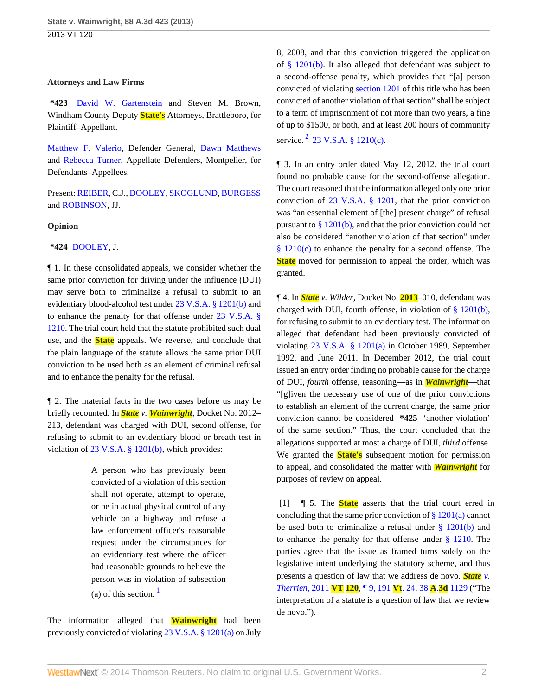#### **Attorneys and Law Firms**

**\*423** [David W. Gartenstein](http://www.westlaw.com/Link/Document/FullText?findType=h&pubNum=176284&cite=0121255901&originatingDoc=I362304f3697d11e3a659df62eba144e8&refType=RQ&originationContext=document&vr=3.0&rs=cblt1.0&transitionType=DocumentItem&contextData=(sc.Search)) and Steven M. Brown, Windham County Deputy **State's** Attorneys, Brattleboro, for Plaintiff–Appellant.

[Matthew F. Valerio](http://www.westlaw.com/Link/Document/FullText?findType=h&pubNum=176284&cite=0193914301&originatingDoc=I362304f3697d11e3a659df62eba144e8&refType=RQ&originationContext=document&vr=3.0&rs=cblt1.0&transitionType=DocumentItem&contextData=(sc.Search)), Defender General, [Dawn Matthews](http://www.westlaw.com/Link/Document/FullText?findType=h&pubNum=176284&cite=0320748101&originatingDoc=I362304f3697d11e3a659df62eba144e8&refType=RQ&originationContext=document&vr=3.0&rs=cblt1.0&transitionType=DocumentItem&contextData=(sc.Search)) and [Rebecca Turner](http://www.westlaw.com/Link/Document/FullText?findType=h&pubNum=176284&cite=0360199801&originatingDoc=I362304f3697d11e3a659df62eba144e8&refType=RQ&originationContext=document&vr=3.0&rs=cblt1.0&transitionType=DocumentItem&contextData=(sc.Search)), Appellate Defenders, Montpelier, for Defendants–Appellees.

Present: [REIBER](http://www.westlaw.com/Link/Document/FullText?findType=h&pubNum=176284&cite=0141970501&originatingDoc=I362304f3697d11e3a659df62eba144e8&refType=RQ&originationContext=document&vr=3.0&rs=cblt1.0&transitionType=DocumentItem&contextData=(sc.Search)), C.J., [DOOLEY,](http://www.westlaw.com/Link/Document/FullText?findType=h&pubNum=176284&cite=0264531601&originatingDoc=I362304f3697d11e3a659df62eba144e8&refType=RQ&originationContext=document&vr=3.0&rs=cblt1.0&transitionType=DocumentItem&contextData=(sc.Search)) [SKOGLUND,](http://www.westlaw.com/Link/Document/FullText?findType=h&pubNum=176284&cite=0197190101&originatingDoc=I362304f3697d11e3a659df62eba144e8&refType=RQ&originationContext=document&vr=3.0&rs=cblt1.0&transitionType=DocumentItem&contextData=(sc.Search)) [BURGESS](http://www.westlaw.com/Link/Document/FullText?findType=h&pubNum=176284&cite=0119873701&originatingDoc=I362304f3697d11e3a659df62eba144e8&refType=RQ&originationContext=document&vr=3.0&rs=cblt1.0&transitionType=DocumentItem&contextData=(sc.Search)) and [ROBINSON](http://www.westlaw.com/Link/Document/FullText?findType=h&pubNum=176284&cite=0175240301&originatingDoc=I362304f3697d11e3a659df62eba144e8&refType=RQ&originationContext=document&vr=3.0&rs=cblt1.0&transitionType=DocumentItem&contextData=(sc.Search)), JJ.

### **Opinion**

**\*424** [DOOLEY,](http://www.westlaw.com/Link/Document/FullText?findType=h&pubNum=176284&cite=0264531601&originatingDoc=I362304f3697d11e3a659df62eba144e8&refType=RQ&originationContext=document&vr=3.0&rs=cblt1.0&transitionType=DocumentItem&contextData=(sc.Search)) J.

¶ 1. In these consolidated appeals, we consider whether the same prior conviction for driving under the influence (DUI) may serve both to criminalize a refusal to submit to an evidentiary blood-alcohol test under [23 V.S.A. § 1201\(b\)](http://www.westlaw.com/Link/Document/FullText?findType=L&pubNum=1000883&cite=VTST23S1201&originatingDoc=I362304f3697d11e3a659df62eba144e8&refType=SP&originationContext=document&vr=3.0&rs=cblt1.0&transitionType=DocumentItem&contextData=(sc.Search)#co_pp_a83b000018c76) and to enhance the penalty for that offense under [23 V.S.A. §](http://www.westlaw.com/Link/Document/FullText?findType=L&pubNum=1000883&cite=VTST23S1210&originatingDoc=I362304f3697d11e3a659df62eba144e8&refType=LQ&originationContext=document&vr=3.0&rs=cblt1.0&transitionType=DocumentItem&contextData=(sc.Search)) [1210](http://www.westlaw.com/Link/Document/FullText?findType=L&pubNum=1000883&cite=VTST23S1210&originatingDoc=I362304f3697d11e3a659df62eba144e8&refType=LQ&originationContext=document&vr=3.0&rs=cblt1.0&transitionType=DocumentItem&contextData=(sc.Search)). The trial court held that the statute prohibited such dual use, and the **State** appeals. We reverse, and conclude that the plain language of the statute allows the same prior DUI conviction to be used both as an element of criminal refusal and to enhance the penalty for the refusal.

¶ 2. The material facts in the two cases before us may be briefly recounted. In *State v. Wainwright,* Docket No. 2012– 213, defendant was charged with DUI, second offense, for refusing to submit to an evidentiary blood or breath test in violation of [23 V.S.A. § 1201\(b\),](http://www.westlaw.com/Link/Document/FullText?findType=L&pubNum=1000883&cite=VTST23S1201&originatingDoc=I362304f3697d11e3a659df62eba144e8&refType=SP&originationContext=document&vr=3.0&rs=cblt1.0&transitionType=DocumentItem&contextData=(sc.Search)#co_pp_a83b000018c76) which provides:

> A person who has previously been convicted of a violation of this section shall not operate, attempt to operate, or be in actual physical control of any vehicle on a highway and refuse a law enforcement officer's reasonable request under the circumstances for an evidentiary test where the officer had reasonable grounds to believe the person was in violation of subsection (a) of this section.  $\frac{1}{2}$  $\frac{1}{2}$  $\frac{1}{2}$

<span id="page-1-1"></span>The information alleged that **Wainwright** had been previously convicted of violating [23 V.S.A. § 1201\(a\)](http://www.westlaw.com/Link/Document/FullText?findType=L&pubNum=1000883&cite=VTST23S1201&originatingDoc=I362304f3697d11e3a659df62eba144e8&refType=SP&originationContext=document&vr=3.0&rs=cblt1.0&transitionType=DocumentItem&contextData=(sc.Search)#co_pp_8b3b0000958a4) on July 8, 2008, and that this conviction triggered the application of [§ 1201\(b\).](http://www.westlaw.com/Link/Document/FullText?findType=L&pubNum=1000883&cite=VTST23S1201&originatingDoc=I362304f3697d11e3a659df62eba144e8&refType=SP&originationContext=document&vr=3.0&rs=cblt1.0&transitionType=DocumentItem&contextData=(sc.Search)#co_pp_a83b000018c76) It also alleged that defendant was subject to a second-offense penalty, which provides that "[a] person convicted of violating [section 1201](http://www.westlaw.com/Link/Document/FullText?findType=L&pubNum=1000883&cite=VTST23S1201&originatingDoc=I362304f3697d11e3a659df62eba144e8&refType=LQ&originationContext=document&vr=3.0&rs=cblt1.0&transitionType=DocumentItem&contextData=(sc.Search)) of this title who has been convicted of another violation of that section" shall be subject to a term of imprisonment of not more than two years, a fine of up to \$1500, or both, and at least 200 hours of community service.  $2$  [23 V.S.A. § 1210\(c\).](http://www.westlaw.com/Link/Document/FullText?findType=L&pubNum=1000883&cite=VTST23S1210&originatingDoc=I362304f3697d11e3a659df62eba144e8&refType=SP&originationContext=document&vr=3.0&rs=cblt1.0&transitionType=DocumentItem&contextData=(sc.Search)#co_pp_4b24000003ba5)

<span id="page-1-2"></span>¶ 3. In an entry order dated May 12, 2012, the trial court found no probable cause for the second-offense allegation. The court reasoned that the information alleged only one prior conviction of [23 V.S.A. § 1201](http://www.westlaw.com/Link/Document/FullText?findType=L&pubNum=1000883&cite=VTST23S1201&originatingDoc=I362304f3697d11e3a659df62eba144e8&refType=LQ&originationContext=document&vr=3.0&rs=cblt1.0&transitionType=DocumentItem&contextData=(sc.Search)), that the prior conviction was "an essential element of [the] present charge" of refusal pursuant to  $\S 1201(b)$ , and that the prior conviction could not also be considered "another violation of that section" under [§ 1210\(c\)](http://www.westlaw.com/Link/Document/FullText?findType=L&pubNum=1000883&cite=VTST23S1210&originatingDoc=I362304f3697d11e3a659df62eba144e8&refType=SP&originationContext=document&vr=3.0&rs=cblt1.0&transitionType=DocumentItem&contextData=(sc.Search)#co_pp_4b24000003ba5) to enhance the penalty for a second offense. The **State** moved for permission to appeal the order, which was granted.

¶ 4. In *State v. Wilder,* Docket No. **2013**–010, defendant was charged with DUI, fourth offense, in violation of [§ 1201\(b\),](http://www.westlaw.com/Link/Document/FullText?findType=L&pubNum=1000883&cite=VTST23S1201&originatingDoc=I362304f3697d11e3a659df62eba144e8&refType=SP&originationContext=document&vr=3.0&rs=cblt1.0&transitionType=DocumentItem&contextData=(sc.Search)#co_pp_a83b000018c76) for refusing to submit to an evidentiary test. The information alleged that defendant had been previously convicted of violating [23 V.S.A. § 1201\(a\)](http://www.westlaw.com/Link/Document/FullText?findType=L&pubNum=1000883&cite=VTST23S1201&originatingDoc=I362304f3697d11e3a659df62eba144e8&refType=SP&originationContext=document&vr=3.0&rs=cblt1.0&transitionType=DocumentItem&contextData=(sc.Search)#co_pp_8b3b0000958a4) in October 1989, September 1992, and June 2011. In December 2012, the trial court issued an entry order finding no probable cause for the charge of DUI, *fourth* offense, reasoning—as in *Wainwright*—that "[g]iven the necessary use of one of the prior convictions to establish an element of the current charge, the same prior conviction cannot be considered **\*425** 'another violation' of the same section." Thus, the court concluded that the allegations supported at most a charge of DUI, *third* offense. We granted the **State's** subsequent motion for permission to appeal, and consolidated the matter with *Wainwright* for purposes of review on appeal.

<span id="page-1-0"></span>**[\[1\]](#page-0-1)** ¶ 5. The **State** asserts that the trial court erred in concluding that the same prior conviction of  $\S 1201(a)$  cannot be used both to criminalize a refusal under  $\S$  1201(b) and to enhance the penalty for that offense under  $\S$  1210. The parties agree that the issue as framed turns solely on the legislative intent underlying the statutory scheme, and thus presents a question of law that we address de novo. *[State](http://www.westlaw.com/Link/Document/FullText?findType=Y&serNum=2026459528&pubNum=7691&originationContext=document&vr=3.0&rs=cblt1.0&transitionType=DocumentItem&contextData=(sc.Search)) v. Therrien,* 2011 **VT 120**[, ¶ 9, 191](http://www.westlaw.com/Link/Document/FullText?findType=Y&serNum=2026459528&pubNum=7691&originationContext=document&vr=3.0&rs=cblt1.0&transitionType=DocumentItem&contextData=(sc.Search)) **Vt**. 24, 38 **A**.**3d** 1129 ("The interpretation of a statute is a question of law that we review de novo.").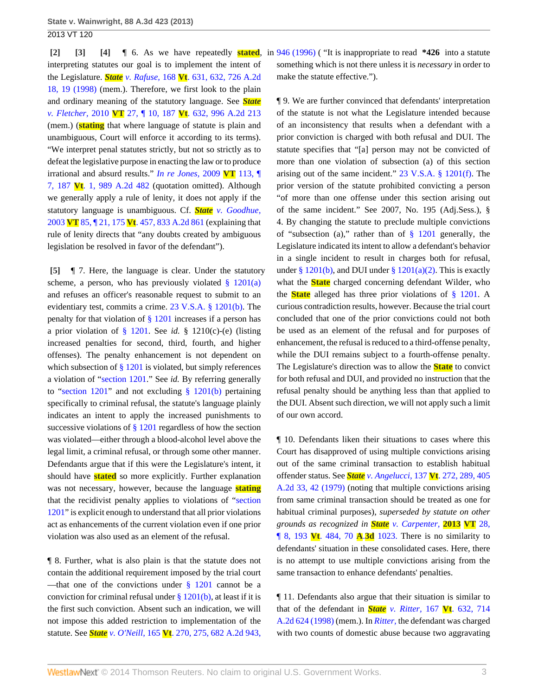interpreting statutes our goal is to implement the intent of the Legislature. *State v. Rafuse,* 168 **Vt**[. 631, 632, 726 A.2d](http://www.westlaw.com/Link/Document/FullText?findType=Y&serNum=1998253638&pubNum=162&fi=co_pp_sp_162_19&originationContext=document&vr=3.0&rs=cblt1.0&transitionType=DocumentItem&contextData=(sc.Search)#co_pp_sp_162_19) [18, 19 \(1998\)](http://www.westlaw.com/Link/Document/FullText?findType=Y&serNum=1998253638&pubNum=162&fi=co_pp_sp_162_19&originationContext=document&vr=3.0&rs=cblt1.0&transitionType=DocumentItem&contextData=(sc.Search)#co_pp_sp_162_19) (mem.). Therefore, we first look to the plain and ordinary meaning of the statutory language. See *[State](http://www.westlaw.com/Link/Document/FullText?findType=Y&serNum=2021705976&pubNum=162&originationContext=document&vr=3.0&rs=cblt1.0&transitionType=DocumentItem&contextData=(sc.Search)) v. Fletcher,* 2010 **VT** 27, ¶ 10, 187 **Vt**[. 632, 996 A.2d 213](http://www.westlaw.com/Link/Document/FullText?findType=Y&serNum=2021705976&pubNum=162&originationContext=document&vr=3.0&rs=cblt1.0&transitionType=DocumentItem&contextData=(sc.Search)) (mem.) (**stating** that where language of statute is plain and unambiguous, Court will enforce it according to its terms). "We interpret penal statutes strictly, but not so strictly as to defeat the legislative purpose in enacting the law or to produce irrational and absurd results." *[In re Jones,](http://www.westlaw.com/Link/Document/FullText?findType=Y&serNum=2020324027&pubNum=162&originationContext=document&vr=3.0&rs=cblt1.0&transitionType=DocumentItem&contextData=(sc.Search))* 2009 **VT** 113, ¶ 7, 187 **Vt**[. 1, 989 A.2d 482](http://www.westlaw.com/Link/Document/FullText?findType=Y&serNum=2020324027&pubNum=162&originationContext=document&vr=3.0&rs=cblt1.0&transitionType=DocumentItem&contextData=(sc.Search)) (quotation omitted). Although we generally apply a rule of lenity, it does not apply if the statutory language is unambiguous. Cf. *State [v. Goodhue,](http://www.westlaw.com/Link/Document/FullText?findType=Y&serNum=2003608460&pubNum=162&originationContext=document&vr=3.0&rs=cblt1.0&transitionType=DocumentItem&contextData=(sc.Search))* 2003 **VT** 85, ¶ 21, 175 **Vt**[. 457, 833 A.2d 861](http://www.westlaw.com/Link/Document/FullText?findType=Y&serNum=2003608460&pubNum=162&originationContext=document&vr=3.0&rs=cblt1.0&transitionType=DocumentItem&contextData=(sc.Search)) (explaining that rule of lenity directs that "any doubts created by ambiguous legislation be resolved in favor of the defendant").

<span id="page-2-3"></span>**[\[5\]](#page-0-0)** ¶ 7. Here, the language is clear. Under the statutory scheme, a person, who has previously violated  $\S$  1201(a) and refuses an officer's reasonable request to submit to an evidentiary test, commits a crime. [23 V.S.A. § 1201\(b\)](http://www.westlaw.com/Link/Document/FullText?findType=L&pubNum=1000883&cite=VTST23S1201&originatingDoc=I362304f3697d11e3a659df62eba144e8&refType=SP&originationContext=document&vr=3.0&rs=cblt1.0&transitionType=DocumentItem&contextData=(sc.Search)#co_pp_a83b000018c76). The penalty for that violation of [§ 1201](http://www.westlaw.com/Link/Document/FullText?findType=L&pubNum=1000883&cite=VTST23S1201&originatingDoc=I362304f3697d11e3a659df62eba144e8&refType=LQ&originationContext=document&vr=3.0&rs=cblt1.0&transitionType=DocumentItem&contextData=(sc.Search)) increases if a person has a prior violation of [§ 1201.](http://www.westlaw.com/Link/Document/FullText?findType=L&pubNum=1000883&cite=VTST23S1201&originatingDoc=I362304f3697d11e3a659df62eba144e8&refType=LQ&originationContext=document&vr=3.0&rs=cblt1.0&transitionType=DocumentItem&contextData=(sc.Search)) See *id.* § 1210(c)-(e) (listing increased penalties for second, third, fourth, and higher offenses). The penalty enhancement is not dependent on which subsection of  $\S 1201$  is violated, but simply references a violation of "[section 1201.](http://www.westlaw.com/Link/Document/FullText?findType=L&pubNum=1000883&cite=VTST23S1201&originatingDoc=I362304f3697d11e3a659df62eba144e8&refType=LQ&originationContext=document&vr=3.0&rs=cblt1.0&transitionType=DocumentItem&contextData=(sc.Search))" See *id.* By referring generally to ["section 1201](http://www.westlaw.com/Link/Document/FullText?findType=L&pubNum=1000883&cite=VTST23S1201&originatingDoc=I362304f3697d11e3a659df62eba144e8&refType=LQ&originationContext=document&vr=3.0&rs=cblt1.0&transitionType=DocumentItem&contextData=(sc.Search))" and not excluding [§ 1201\(b\)](http://www.westlaw.com/Link/Document/FullText?findType=L&pubNum=1000883&cite=VTST23S1201&originatingDoc=I362304f3697d11e3a659df62eba144e8&refType=SP&originationContext=document&vr=3.0&rs=cblt1.0&transitionType=DocumentItem&contextData=(sc.Search)#co_pp_a83b000018c76) pertaining specifically to criminal refusal, the statute's language plainly indicates an intent to apply the increased punishments to successive violations of [§ 1201](http://www.westlaw.com/Link/Document/FullText?findType=L&pubNum=1000883&cite=VTST23S1201&originatingDoc=I362304f3697d11e3a659df62eba144e8&refType=LQ&originationContext=document&vr=3.0&rs=cblt1.0&transitionType=DocumentItem&contextData=(sc.Search)) regardless of how the section was violated—either through a blood-alcohol level above the legal limit, a criminal refusal, or through some other manner. Defendants argue that if this were the Legislature's intent, it should have **stated** so more explicitly. Further explanation was not necessary, however, because the language **stating** that the recidivist penalty applies to violations of "[section](http://www.westlaw.com/Link/Document/FullText?findType=L&pubNum=1000883&cite=VTST23S1201&originatingDoc=I362304f3697d11e3a659df62eba144e8&refType=LQ&originationContext=document&vr=3.0&rs=cblt1.0&transitionType=DocumentItem&contextData=(sc.Search)) [1201](http://www.westlaw.com/Link/Document/FullText?findType=L&pubNum=1000883&cite=VTST23S1201&originatingDoc=I362304f3697d11e3a659df62eba144e8&refType=LQ&originationContext=document&vr=3.0&rs=cblt1.0&transitionType=DocumentItem&contextData=(sc.Search))" is explicit enough to understand that all prior violations act as enhancements of the current violation even if one prior violation was also used as an element of the refusal.

¶ 8. Further, what is also plain is that the statute does not contain the additional requirement imposed by the trial court —that one of the convictions under  $\S$  1201 cannot be a conviction for criminal refusal under [§ 1201\(b\)](http://www.westlaw.com/Link/Document/FullText?findType=L&pubNum=1000883&cite=VTST23S1201&originatingDoc=I362304f3697d11e3a659df62eba144e8&refType=SP&originationContext=document&vr=3.0&rs=cblt1.0&transitionType=DocumentItem&contextData=(sc.Search)#co_pp_a83b000018c76), at least if it is the first such conviction. Absent such an indication, we will not impose this added restriction to implementation of the statute. See *State v. O'Neill,* 165 **Vt**[. 270, 275, 682 A.2d 943,](http://www.westlaw.com/Link/Document/FullText?findType=Y&serNum=1996137572&pubNum=162&fi=co_pp_sp_162_946&originationContext=document&vr=3.0&rs=cblt1.0&transitionType=DocumentItem&contextData=(sc.Search)#co_pp_sp_162_946)

<span id="page-2-2"></span><span id="page-2-1"></span><span id="page-2-0"></span>**[\[2\]](#page-0-2) [\[3\]](#page-0-3) [\[4\]](#page-0-4)** ¶ 6. As we have repeatedly **stated**, in [946 \(1996\)](http://www.westlaw.com/Link/Document/FullText?findType=Y&serNum=1996137572&pubNum=162&fi=co_pp_sp_162_946&originationContext=document&vr=3.0&rs=cblt1.0&transitionType=DocumentItem&contextData=(sc.Search)#co_pp_sp_162_946) ( "It is inappropriate to read **\*426** into a statute something which is not there unless it is *necessary* in order to make the statute effective.").

> ¶ 9. We are further convinced that defendants' interpretation of the statute is not what the Legislature intended because of an inconsistency that results when a defendant with a prior conviction is charged with both refusal and DUI. The statute specifies that "[a] person may not be convicted of more than one violation of subsection (a) of this section arising out of the same incident." [23 V.S.A. § 1201\(f\).](http://www.westlaw.com/Link/Document/FullText?findType=L&pubNum=1000883&cite=VTST23S1201&originatingDoc=I362304f3697d11e3a659df62eba144e8&refType=SP&originationContext=document&vr=3.0&rs=cblt1.0&transitionType=DocumentItem&contextData=(sc.Search)#co_pp_ae0d0000c5150) The prior version of the statute prohibited convicting a person "of more than one offense under this section arising out of the same incident." See 2007, No. 195 (Adj.Sess.), § 4. By changing the statute to preclude multiple convictions of "subsection (a)," rather than of  $\S$  1201 generally, the Legislature indicated its intent to allow a defendant's behavior in a single incident to result in charges both for refusal, under [§ 1201\(b\),](http://www.westlaw.com/Link/Document/FullText?findType=L&pubNum=1000883&cite=VTST23S1201&originatingDoc=I362304f3697d11e3a659df62eba144e8&refType=SP&originationContext=document&vr=3.0&rs=cblt1.0&transitionType=DocumentItem&contextData=(sc.Search)#co_pp_a83b000018c76) and DUI under [§ 1201\(a\)\(2\)](http://www.westlaw.com/Link/Document/FullText?findType=L&pubNum=1000883&cite=VTST23S1201&originatingDoc=I362304f3697d11e3a659df62eba144e8&refType=SP&originationContext=document&vr=3.0&rs=cblt1.0&transitionType=DocumentItem&contextData=(sc.Search)#co_pp_d86d0000be040). This is exactly what the **State** charged concerning defendant Wilder, who the **State** alleged has three prior violations of [§ 1201.](http://www.westlaw.com/Link/Document/FullText?findType=L&pubNum=1000883&cite=VTST23S1201&originatingDoc=I362304f3697d11e3a659df62eba144e8&refType=LQ&originationContext=document&vr=3.0&rs=cblt1.0&transitionType=DocumentItem&contextData=(sc.Search)) A curious contradiction results, however. Because the trial court concluded that one of the prior convictions could not both be used as an element of the refusal and for purposes of enhancement, the refusal is reduced to a third-offense penalty, while the DUI remains subject to a fourth-offense penalty. The Legislature's direction was to allow the **State** to convict for both refusal and DUI, and provided no instruction that the refusal penalty should be anything less than that applied to the DUI. Absent such direction, we will not apply such a limit of our own accord.

> ¶ 10. Defendants liken their situations to cases where this Court has disapproved of using multiple convictions arising out of the same criminal transaction to establish habitual offender status. See *State v. Angelucci,* 137 **Vt**[. 272, 289, 405](http://www.westlaw.com/Link/Document/FullText?findType=Y&serNum=1979110024&pubNum=162&fi=co_pp_sp_162_42&originationContext=document&vr=3.0&rs=cblt1.0&transitionType=DocumentItem&contextData=(sc.Search)#co_pp_sp_162_42) [A.2d 33, 42 \(1979\)](http://www.westlaw.com/Link/Document/FullText?findType=Y&serNum=1979110024&pubNum=162&fi=co_pp_sp_162_42&originationContext=document&vr=3.0&rs=cblt1.0&transitionType=DocumentItem&contextData=(sc.Search)#co_pp_sp_162_42) (noting that multiple convictions arising from same criminal transaction should be treated as one for habitual criminal purposes), *superseded by statute on other grounds as recognized in State [v. Carpenter,](http://www.westlaw.com/Link/Document/FullText?findType=Y&serNum=2030345201&pubNum=7691&originationContext=document&vr=3.0&rs=cblt1.0&transitionType=DocumentItem&contextData=(sc.Search))* **2013 VT** 28, ¶ 8, 193 **Vt**[. 484, 70](http://www.westlaw.com/Link/Document/FullText?findType=Y&serNum=2030345201&pubNum=7691&originationContext=document&vr=3.0&rs=cblt1.0&transitionType=DocumentItem&contextData=(sc.Search)) **A**.**3d** 1023. There is no similarity to defendants' situation in these consolidated cases. Here, there is no attempt to use multiple convictions arising from the same transaction to enhance defendants' penalties.

> ¶ 11. Defendants also argue that their situation is similar to that of the defendant in *State v. Ritter,* 167 **Vt**[. 632, 714](http://www.westlaw.com/Link/Document/FullText?findType=Y&serNum=1998135580&pubNum=162&originationContext=document&vr=3.0&rs=cblt1.0&transitionType=DocumentItem&contextData=(sc.Search)) [A.2d 624 \(1998\)](http://www.westlaw.com/Link/Document/FullText?findType=Y&serNum=1998135580&pubNum=162&originationContext=document&vr=3.0&rs=cblt1.0&transitionType=DocumentItem&contextData=(sc.Search)) (mem.). In *[Ritter,](http://www.westlaw.com/Link/Document/FullText?findType=Y&serNum=1998135580&originationContext=document&vr=3.0&rs=cblt1.0&transitionType=DocumentItem&contextData=(sc.Search))* the defendant was charged with two counts of domestic abuse because two aggravating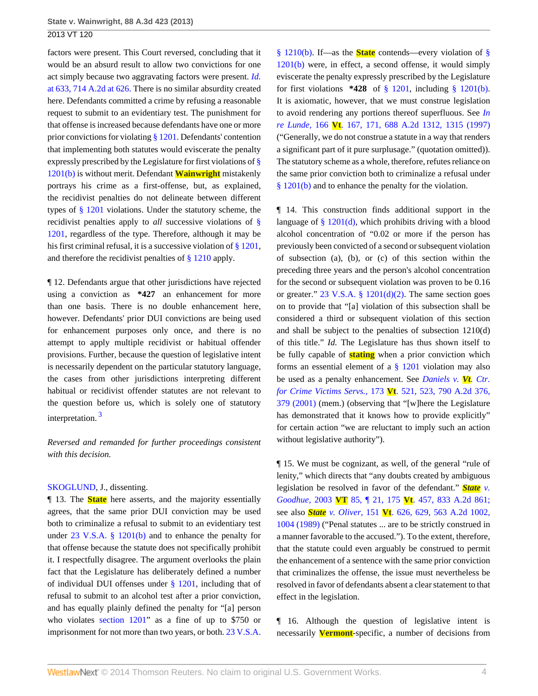factors were present. This Court reversed, concluding that it would be an absurd result to allow two convictions for one act simply because two aggravating factors were present. *[Id.](http://www.westlaw.com/Link/Document/FullText?findType=Y&serNum=1998135580&pubNum=162&fi=co_pp_sp_162_626&originationContext=document&vr=3.0&rs=cblt1.0&transitionType=DocumentItem&contextData=(sc.Search)#co_pp_sp_162_626)* [at 633, 714 A.2d at 626.](http://www.westlaw.com/Link/Document/FullText?findType=Y&serNum=1998135580&pubNum=162&fi=co_pp_sp_162_626&originationContext=document&vr=3.0&rs=cblt1.0&transitionType=DocumentItem&contextData=(sc.Search)#co_pp_sp_162_626) There is no similar absurdity created here. Defendants committed a crime by refusing a reasonable request to submit to an evidentiary test. The punishment for that offense is increased because defendants have one or more prior convictions for violating [§ 1201](http://www.westlaw.com/Link/Document/FullText?findType=L&pubNum=1000883&cite=VTST23S1201&originatingDoc=I362304f3697d11e3a659df62eba144e8&refType=LQ&originationContext=document&vr=3.0&rs=cblt1.0&transitionType=DocumentItem&contextData=(sc.Search)). Defendants' contention that implementing both statutes would eviscerate the penalty expressly prescribed by the Legislature for first violations of [§](http://www.westlaw.com/Link/Document/FullText?findType=L&pubNum=1000883&cite=VTST23S1201&originatingDoc=I362304f3697d11e3a659df62eba144e8&refType=SP&originationContext=document&vr=3.0&rs=cblt1.0&transitionType=DocumentItem&contextData=(sc.Search)#co_pp_a83b000018c76) [1201\(b\)](http://www.westlaw.com/Link/Document/FullText?findType=L&pubNum=1000883&cite=VTST23S1201&originatingDoc=I362304f3697d11e3a659df62eba144e8&refType=SP&originationContext=document&vr=3.0&rs=cblt1.0&transitionType=DocumentItem&contextData=(sc.Search)#co_pp_a83b000018c76) is without merit. Defendant **Wainwright** mistakenly portrays his crime as a first-offense, but, as explained, the recidivist penalties do not delineate between different types of [§ 1201](http://www.westlaw.com/Link/Document/FullText?findType=L&pubNum=1000883&cite=VTST23S1201&originatingDoc=I362304f3697d11e3a659df62eba144e8&refType=LQ&originationContext=document&vr=3.0&rs=cblt1.0&transitionType=DocumentItem&contextData=(sc.Search)) violations. Under the statutory scheme, the recidivist penalties apply to *all* successive violations of [§](http://www.westlaw.com/Link/Document/FullText?findType=L&pubNum=1000883&cite=VTST23S1201&originatingDoc=I362304f3697d11e3a659df62eba144e8&refType=LQ&originationContext=document&vr=3.0&rs=cblt1.0&transitionType=DocumentItem&contextData=(sc.Search)) [1201](http://www.westlaw.com/Link/Document/FullText?findType=L&pubNum=1000883&cite=VTST23S1201&originatingDoc=I362304f3697d11e3a659df62eba144e8&refType=LQ&originationContext=document&vr=3.0&rs=cblt1.0&transitionType=DocumentItem&contextData=(sc.Search)), regardless of the type. Therefore, although it may be his first criminal refusal, it is a successive violation of [§ 1201,](http://www.westlaw.com/Link/Document/FullText?findType=L&pubNum=1000883&cite=VTST23S1201&originatingDoc=I362304f3697d11e3a659df62eba144e8&refType=LQ&originationContext=document&vr=3.0&rs=cblt1.0&transitionType=DocumentItem&contextData=(sc.Search)) and therefore the recidivist penalties of [§ 1210](http://www.westlaw.com/Link/Document/FullText?findType=L&pubNum=1000883&cite=VTST23S1210&originatingDoc=I362304f3697d11e3a659df62eba144e8&refType=LQ&originationContext=document&vr=3.0&rs=cblt1.0&transitionType=DocumentItem&contextData=(sc.Search)) apply.

¶ 12. Defendants argue that other jurisdictions have rejected using a conviction as **\*427** an enhancement for more than one basis. There is no double enhancement here, however. Defendants' prior DUI convictions are being used for enhancement purposes only once, and there is no attempt to apply multiple recidivist or habitual offender provisions. Further, because the question of legislative intent is necessarily dependent on the particular statutory language, the cases from other jurisdictions interpreting different habitual or recidivist offender statutes are not relevant to the question before us, which is solely one of statutory interpretation.<sup>[3](#page-5-0)</sup>

<span id="page-3-0"></span>*Reversed and remanded for further proceedings consistent with this decision.*

#### [SKOGLUND,](http://www.westlaw.com/Link/Document/FullText?findType=h&pubNum=176284&cite=0197190101&originatingDoc=I362304f3697d11e3a659df62eba144e8&refType=RQ&originationContext=document&vr=3.0&rs=cblt1.0&transitionType=DocumentItem&contextData=(sc.Search)) J., dissenting.

¶ 13. The **State** here asserts, and the majority essentially agrees, that the same prior DUI conviction may be used both to criminalize a refusal to submit to an evidentiary test under [23 V.S.A. § 1201\(b\)](http://www.westlaw.com/Link/Document/FullText?findType=L&pubNum=1000883&cite=VTST23S1201&originatingDoc=I362304f3697d11e3a659df62eba144e8&refType=SP&originationContext=document&vr=3.0&rs=cblt1.0&transitionType=DocumentItem&contextData=(sc.Search)#co_pp_a83b000018c76) and to enhance the penalty for that offense because the statute does not specifically prohibit it. I respectfully disagree. The argument overlooks the plain fact that the Legislature has deliberately defined a number of individual DUI offenses under  $\S$  1201, including that of refusal to submit to an alcohol test after a prior conviction, and has equally plainly defined the penalty for "[a] person who violates [section 1201"](http://www.westlaw.com/Link/Document/FullText?findType=L&pubNum=1000883&cite=VTST23S1201&originatingDoc=I362304f3697d11e3a659df62eba144e8&refType=LQ&originationContext=document&vr=3.0&rs=cblt1.0&transitionType=DocumentItem&contextData=(sc.Search)) as a fine of up to \$750 or imprisonment for not more than two years, or both. [23 V.S.A.](http://www.westlaw.com/Link/Document/FullText?findType=L&pubNum=1000883&cite=VTST23S1210&originatingDoc=I362304f3697d11e3a659df62eba144e8&refType=SP&originationContext=document&vr=3.0&rs=cblt1.0&transitionType=DocumentItem&contextData=(sc.Search)#co_pp_a83b000018c76)

[§ 1210\(b\)](http://www.westlaw.com/Link/Document/FullText?findType=L&pubNum=1000883&cite=VTST23S1210&originatingDoc=I362304f3697d11e3a659df62eba144e8&refType=SP&originationContext=document&vr=3.0&rs=cblt1.0&transitionType=DocumentItem&contextData=(sc.Search)#co_pp_a83b000018c76). If—as the **State** contends—every violation of [§](http://www.westlaw.com/Link/Document/FullText?findType=L&pubNum=1000883&cite=VTST23S1201&originatingDoc=I362304f3697d11e3a659df62eba144e8&refType=SP&originationContext=document&vr=3.0&rs=cblt1.0&transitionType=DocumentItem&contextData=(sc.Search)#co_pp_a83b000018c76) [1201\(b\)](http://www.westlaw.com/Link/Document/FullText?findType=L&pubNum=1000883&cite=VTST23S1201&originatingDoc=I362304f3697d11e3a659df62eba144e8&refType=SP&originationContext=document&vr=3.0&rs=cblt1.0&transitionType=DocumentItem&contextData=(sc.Search)#co_pp_a83b000018c76) were, in effect, a second offense, it would simply eviscerate the penalty expressly prescribed by the Legislature for first violations **\*428** of [§ 1201](http://www.westlaw.com/Link/Document/FullText?findType=L&pubNum=1000883&cite=VTST23S1201&originatingDoc=I362304f3697d11e3a659df62eba144e8&refType=LQ&originationContext=document&vr=3.0&rs=cblt1.0&transitionType=DocumentItem&contextData=(sc.Search)), including [§ 1201\(b\)](http://www.westlaw.com/Link/Document/FullText?findType=L&pubNum=1000883&cite=VTST23S1201&originatingDoc=I362304f3697d11e3a659df62eba144e8&refType=SP&originationContext=document&vr=3.0&rs=cblt1.0&transitionType=DocumentItem&contextData=(sc.Search)#co_pp_a83b000018c76). It is axiomatic, however, that we must construe legislation to avoid rendering any portions thereof superfluous. See *[In](http://www.westlaw.com/Link/Document/FullText?findType=Y&serNum=1997049970&pubNum=162&fi=co_pp_sp_162_1315&originationContext=document&vr=3.0&rs=cblt1.0&transitionType=DocumentItem&contextData=(sc.Search)#co_pp_sp_162_1315) re Lunde,* 166 **Vt**[. 167, 171, 688 A.2d 1312, 1315 \(1997\)](http://www.westlaw.com/Link/Document/FullText?findType=Y&serNum=1997049970&pubNum=162&fi=co_pp_sp_162_1315&originationContext=document&vr=3.0&rs=cblt1.0&transitionType=DocumentItem&contextData=(sc.Search)#co_pp_sp_162_1315) ("Generally, we do not construe a statute in a way that renders a significant part of it pure surplusage." (quotation omitted)). The statutory scheme as a whole, therefore, refutes reliance on the same prior conviction both to criminalize a refusal under [§ 1201\(b\)](http://www.westlaw.com/Link/Document/FullText?findType=L&pubNum=1000883&cite=VTST23S1201&originatingDoc=I362304f3697d11e3a659df62eba144e8&refType=SP&originationContext=document&vr=3.0&rs=cblt1.0&transitionType=DocumentItem&contextData=(sc.Search)#co_pp_a83b000018c76) and to enhance the penalty for the violation.

¶ 14. This construction finds additional support in the language of  $\S$  1201(d), which prohibits driving with a blood alcohol concentration of "0.02 or more if the person has previously been convicted of a second or subsequent violation of subsection (a), (b), or (c) of this section within the preceding three years and the person's alcohol concentration for the second or subsequent violation was proven to be 0.16 or greater."  $23 \text{ V.S.A.}$  §  $1201(d)(2)$ . The same section goes on to provide that "[a] violation of this subsection shall be considered a third or subsequent violation of this section and shall be subject to the penalties of subsection 1210(d) of this title." *Id.* The Legislature has thus shown itself to be fully capable of **stating** when a prior conviction which forms an essential element of a [§ 1201](http://www.westlaw.com/Link/Document/FullText?findType=L&pubNum=1000883&cite=VTST23S1201&originatingDoc=I362304f3697d11e3a659df62eba144e8&refType=LQ&originationContext=document&vr=3.0&rs=cblt1.0&transitionType=DocumentItem&contextData=(sc.Search)) violation may also be used as a penalty enhancement. See *[Daniels v.](http://www.westlaw.com/Link/Document/FullText?findType=Y&serNum=2001591319&pubNum=162&fi=co_pp_sp_162_379&originationContext=document&vr=3.0&rs=cblt1.0&transitionType=DocumentItem&contextData=(sc.Search)#co_pp_sp_162_379) Vt. Ctr. for Crime Victims Servs.,* 173 **Vt**[. 521, 523, 790 A.2d 376,](http://www.westlaw.com/Link/Document/FullText?findType=Y&serNum=2001591319&pubNum=162&fi=co_pp_sp_162_379&originationContext=document&vr=3.0&rs=cblt1.0&transitionType=DocumentItem&contextData=(sc.Search)#co_pp_sp_162_379) [379 \(2001\)](http://www.westlaw.com/Link/Document/FullText?findType=Y&serNum=2001591319&pubNum=162&fi=co_pp_sp_162_379&originationContext=document&vr=3.0&rs=cblt1.0&transitionType=DocumentItem&contextData=(sc.Search)#co_pp_sp_162_379) (mem.) (observing that "[w]here the Legislature has demonstrated that it knows how to provide explicitly" for certain action "we are reluctant to imply such an action without legislative authority").

¶ 15. We must be cognizant, as well, of the general "rule of lenity," which directs that "any doubts created by ambiguous legislation be resolved in favor of the defendant." *[State](http://www.westlaw.com/Link/Document/FullText?findType=Y&serNum=2003608460&pubNum=162&originationContext=document&vr=3.0&rs=cblt1.0&transitionType=DocumentItem&contextData=(sc.Search)) v. Goodhue,* 2003 **VT** 85, ¶ 21, 175 **Vt**[. 457, 833 A.2d 861;](http://www.westlaw.com/Link/Document/FullText?findType=Y&serNum=2003608460&pubNum=162&originationContext=document&vr=3.0&rs=cblt1.0&transitionType=DocumentItem&contextData=(sc.Search)) see also *State v. Oliver,* 151 **Vt**[. 626, 629, 563 A.2d 1002,](http://www.westlaw.com/Link/Document/FullText?findType=Y&serNum=1989129331&pubNum=162&fi=co_pp_sp_162_1004&originationContext=document&vr=3.0&rs=cblt1.0&transitionType=DocumentItem&contextData=(sc.Search)#co_pp_sp_162_1004) [1004 \(1989\)](http://www.westlaw.com/Link/Document/FullText?findType=Y&serNum=1989129331&pubNum=162&fi=co_pp_sp_162_1004&originationContext=document&vr=3.0&rs=cblt1.0&transitionType=DocumentItem&contextData=(sc.Search)#co_pp_sp_162_1004) ("Penal statutes ... are to be strictly construed in a manner favorable to the accused."). To the extent, therefore, that the statute could even arguably be construed to permit the enhancement of a sentence with the same prior conviction that criminalizes the offense, the issue must nevertheless be resolved in favor of defendants absent a clear statement to that effect in the legislation.

¶ 16. Although the question of legislative intent is necessarily **Vermont**-specific, a number of decisions from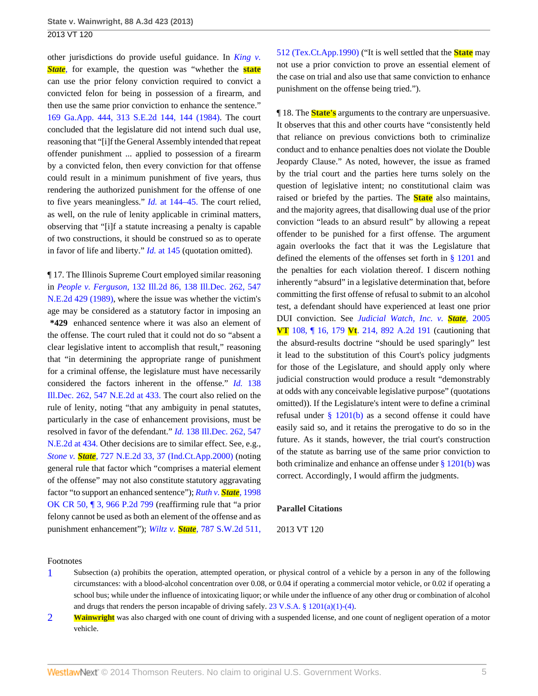other jurisdictions do provide useful guidance. In *[King v.](http://www.westlaw.com/Link/Document/FullText?findType=Y&serNum=1984116710&originationContext=document&vr=3.0&rs=cblt1.0&transitionType=DocumentItem&contextData=(sc.Search)) [State](http://www.westlaw.com/Link/Document/FullText?findType=Y&serNum=1984116710&originationContext=document&vr=3.0&rs=cblt1.0&transitionType=DocumentItem&contextData=(sc.Search)),* for example, the question was "whether the **state** can use the prior felony conviction required to convict a convicted felon for being in possession of a firearm, and then use the same prior conviction to enhance the sentence." [169 Ga.App. 444, 313 S.E.2d 144, 144 \(1984\)](http://www.westlaw.com/Link/Document/FullText?findType=Y&serNum=1984116710&pubNum=711&fi=co_pp_sp_711_144&originationContext=document&vr=3.0&rs=cblt1.0&transitionType=DocumentItem&contextData=(sc.Search)#co_pp_sp_711_144). The court concluded that the legislature did not intend such dual use, reasoning that "[i]f the General Assembly intended that repeat offender punishment ... applied to possession of a firearm by a convicted felon, then every conviction for that offense could result in a minimum punishment of five years, thus rendering the authorized punishment for the offense of one to five years meaningless." *Id.* [at 144–45.](http://www.westlaw.com/Link/Document/FullText?findType=Y&serNum=1984116710&originationContext=document&vr=3.0&rs=cblt1.0&transitionType=DocumentItem&contextData=(sc.Search)) The court relied, as well, on the rule of lenity applicable in criminal matters, observing that "[i]f a statute increasing a penalty is capable of two constructions, it should be construed so as to operate in favor of life and liberty." *Id.* [at 145](http://www.westlaw.com/Link/Document/FullText?findType=Y&serNum=1984116710&originationContext=document&vr=3.0&rs=cblt1.0&transitionType=DocumentItem&contextData=(sc.Search)) (quotation omitted).

¶ 17. The Illinois Supreme Court employed similar reasoning in *People v. Ferguson,* [132 Ill.2d 86, 138 Ill.Dec. 262, 547](http://www.westlaw.com/Link/Document/FullText?findType=Y&serNum=1989153202&pubNum=578&originationContext=document&vr=3.0&rs=cblt1.0&transitionType=DocumentItem&contextData=(sc.Search)) [N.E.2d 429 \(1989\)](http://www.westlaw.com/Link/Document/FullText?findType=Y&serNum=1989153202&pubNum=578&originationContext=document&vr=3.0&rs=cblt1.0&transitionType=DocumentItem&contextData=(sc.Search)), where the issue was whether the victim's age may be considered as a statutory factor in imposing an **\*429** enhanced sentence where it was also an element of the offense. The court ruled that it could not do so "absent a clear legislative intent to accomplish that result," reasoning that "in determining the appropriate range of punishment for a criminal offense, the legislature must have necessarily considered the factors inherent in the offense." *Id.* [138](http://www.westlaw.com/Link/Document/FullText?findType=Y&serNum=1989153202&pubNum=578&fi=co_pp_sp_578_433&originationContext=document&vr=3.0&rs=cblt1.0&transitionType=DocumentItem&contextData=(sc.Search)#co_pp_sp_578_433) [Ill.Dec. 262, 547 N.E.2d at 433.](http://www.westlaw.com/Link/Document/FullText?findType=Y&serNum=1989153202&pubNum=578&fi=co_pp_sp_578_433&originationContext=document&vr=3.0&rs=cblt1.0&transitionType=DocumentItem&contextData=(sc.Search)#co_pp_sp_578_433) The court also relied on the rule of lenity, noting "that any ambiguity in penal statutes, particularly in the case of enhancement provisions, must be resolved in favor of the defendant." *Id.* [138 Ill.Dec. 262, 547](http://www.westlaw.com/Link/Document/FullText?findType=Y&serNum=1989153202&pubNum=578&fi=co_pp_sp_578_434&originationContext=document&vr=3.0&rs=cblt1.0&transitionType=DocumentItem&contextData=(sc.Search)#co_pp_sp_578_434) [N.E.2d at 434.](http://www.westlaw.com/Link/Document/FullText?findType=Y&serNum=1989153202&pubNum=578&fi=co_pp_sp_578_434&originationContext=document&vr=3.0&rs=cblt1.0&transitionType=DocumentItem&contextData=(sc.Search)#co_pp_sp_578_434) Other decisions are to similar effect. See, e.g., *Stone v. State,* [727 N.E.2d 33, 37 \(Ind.Ct.App.2000\)](http://www.westlaw.com/Link/Document/FullText?findType=Y&serNum=2000102090&pubNum=578&fi=co_pp_sp_578_37&originationContext=document&vr=3.0&rs=cblt1.0&transitionType=DocumentItem&contextData=(sc.Search)#co_pp_sp_578_37) (noting general rule that factor which "comprises a material element of the offense" may not also constitute statutory aggravating factor "to support an enhanced sentence"); *[Ruth v.](http://www.westlaw.com/Link/Document/FullText?findType=Y&serNum=1998193740&pubNum=661&originationContext=document&vr=3.0&rs=cblt1.0&transitionType=DocumentItem&contextData=(sc.Search)) State,* 1998 [OK CR 50, ¶ 3, 966 P.2d 799](http://www.westlaw.com/Link/Document/FullText?findType=Y&serNum=1998193740&pubNum=661&originationContext=document&vr=3.0&rs=cblt1.0&transitionType=DocumentItem&contextData=(sc.Search)) (reaffirming rule that "a prior felony cannot be used as both an element of the offense and as punishment enhancement"); *Wiltz v. State,* [787 S.W.2d 511,](http://www.westlaw.com/Link/Document/FullText?findType=Y&serNum=1990050546&pubNum=713&fi=co_pp_sp_713_512&originationContext=document&vr=3.0&rs=cblt1.0&transitionType=DocumentItem&contextData=(sc.Search)#co_pp_sp_713_512) [512 \(Tex.Ct.App.1990\)](http://www.westlaw.com/Link/Document/FullText?findType=Y&serNum=1990050546&pubNum=713&fi=co_pp_sp_713_512&originationContext=document&vr=3.0&rs=cblt1.0&transitionType=DocumentItem&contextData=(sc.Search)#co_pp_sp_713_512) ("It is well settled that the **State** may not use a prior conviction to prove an essential element of the case on trial and also use that same conviction to enhance punishment on the offense being tried.").

¶ 18. The **State's** arguments to the contrary are unpersuasive. It observes that this and other courts have "consistently held that reliance on previous convictions both to criminalize conduct and to enhance penalties does not violate the Double Jeopardy Clause." As noted, however, the issue as framed by the trial court and the parties here turns solely on the question of legislative intent; no constitutional claim was raised or briefed by the parties. The **State** also maintains, and the majority agrees, that disallowing dual use of the prior conviction "leads to an absurd result" by allowing a repeat offender to be punished for a first offense. The argument again overlooks the fact that it was the Legislature that defined the elements of the offenses set forth in [§ 1201](http://www.westlaw.com/Link/Document/FullText?findType=L&pubNum=1000883&cite=VTST23S1201&originatingDoc=I362304f3697d11e3a659df62eba144e8&refType=LQ&originationContext=document&vr=3.0&rs=cblt1.0&transitionType=DocumentItem&contextData=(sc.Search)) and the penalties for each violation thereof. I discern nothing inherently "absurd" in a legislative determination that, before committing the first offense of refusal to submit to an alcohol test, a defendant should have experienced at least one prior DUI conviction. See *[Judicial Watch, Inc. v.](http://www.westlaw.com/Link/Document/FullText?findType=Y&serNum=2007630419&pubNum=162&originationContext=document&vr=3.0&rs=cblt1.0&transitionType=DocumentItem&contextData=(sc.Search)) State,* 2005 **VT** 108, ¶ 16, 179 **Vt**[. 214, 892 A.2d 191](http://www.westlaw.com/Link/Document/FullText?findType=Y&serNum=2007630419&pubNum=162&originationContext=document&vr=3.0&rs=cblt1.0&transitionType=DocumentItem&contextData=(sc.Search)) (cautioning that the absurd-results doctrine "should be used sparingly" lest it lead to the substitution of this Court's policy judgments for those of the Legislature, and should apply only where judicial construction would produce a result "demonstrably at odds with any conceivable legislative purpose" (quotations omitted)). If the Legislature's intent were to define a criminal refusal under [§ 1201\(b\)](http://www.westlaw.com/Link/Document/FullText?findType=L&pubNum=1000883&cite=VTST23S1201&originatingDoc=I362304f3697d11e3a659df62eba144e8&refType=SP&originationContext=document&vr=3.0&rs=cblt1.0&transitionType=DocumentItem&contextData=(sc.Search)#co_pp_a83b000018c76) as a second offense it could have easily said so, and it retains the prerogative to do so in the future. As it stands, however, the trial court's construction of the statute as barring use of the same prior conviction to both criminalize and enhance an offense under [§ 1201\(b\)](http://www.westlaw.com/Link/Document/FullText?findType=L&pubNum=1000883&cite=VTST23S1201&originatingDoc=I362304f3697d11e3a659df62eba144e8&refType=SP&originationContext=document&vr=3.0&rs=cblt1.0&transitionType=DocumentItem&contextData=(sc.Search)#co_pp_a83b000018c76) was correct. Accordingly, I would affirm the judgments.

#### **Parallel Citations**

#### 2013 VT 120

### Footnotes

- <span id="page-4-0"></span>[1](#page-1-1) Subsection (a) prohibits the operation, attempted operation, or physical control of a vehicle by a person in any of the following circumstances: with a blood-alcohol concentration over 0.08, or 0.04 if operating a commercial motor vehicle, or 0.02 if operating a school bus; while under the influence of intoxicating liquor; or while under the influence of any other drug or combination of alcohol and drugs that renders the person incapable of driving safely. [23 V.S.A. § 1201\(a\)\(1\)-\(4\)](http://www.westlaw.com/Link/Document/FullText?findType=L&pubNum=1000883&cite=VTST23S1201&originatingDoc=I362304f3697d11e3a659df62eba144e8&refType=SP&originationContext=document&vr=3.0&rs=cblt1.0&transitionType=DocumentItem&contextData=(sc.Search)#co_pp_7b9b000044381).
- <span id="page-4-1"></span>**Wainwright** was also charged with one count of driving with a suspended license, and one count of negligent operation of a motor vehicle.